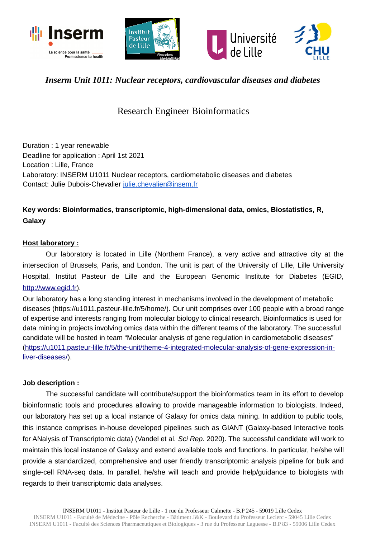





## *Inserm Unit 1011: Nuclear receptors, cardiovascular diseases and diabetes*

# Research Engineer Bioinformatics

Duration : 1 year renewable Deadline for application : April 1st 2021 Location : Lille, France Laboratory: INSERM U1011 Nuclear receptors, cardiometabolic diseases and diabetes Contact: Julie Dubois-Chevalier [julie.chevalier@insem.fr](mailto:julie.chevalier@insem.fr)

### **Key words: Bioinformatics, transcriptomic, high-dimensional data, omics, Biostatistics, R, Galaxy**

#### **Host laboratory :**

Our laboratory is located in Lille (Northern France), a very active and attractive city at the intersection of Brussels, Paris, and London. The unit is part of the University of Lille, Lille University Hospital, Institut Pasteur de Lille and the European Genomic Institute for Diabetes (EGID, [http://www.egid.fr\)](http://www.egid.fr/).

Our laboratory has a long standing interest in mechanisms involved in the development of metabolic diseases (https://u1011.pasteur-lille.fr/5/home/). Our unit comprises over 100 people with a broad range of expertise and interests ranging from molecular biology to clinical research. Bioinformatics is used for data mining in projects involving omics data within the different teams of the laboratory. The successful candidate will be hosted in team "Molecular analysis of gene regulation in cardiometabolic diseases" [\(https://u1011.pasteur-lille.fr/5/the-unit/theme-4-integrated-molecular-analysis-of-gene-expression-in](https://u1011.pasteur-lille.fr/5/the-unit/theme-4-integrated-molecular-analysis-of-gene-expression-in-liver-diseases/)[liver-diseases/\)](https://u1011.pasteur-lille.fr/5/the-unit/theme-4-integrated-molecular-analysis-of-gene-expression-in-liver-diseases/).

#### **Job description :**

The successful candidate will contribute/support the bioinformatics team in its effort to develop bioinformatic tools and procedures allowing to provide manageable information to biologists. Indeed, our laboratory has set up a local instance of Galaxy for omics data mining. In addition to public tools, this instance comprises in-house developed pipelines such as GIANT (Galaxy-based Interactive tools for ANalysis of Transcriptomic data) (Vandel et al. *Sci Rep*. 2020). The successful candidate will work to maintain this local instance of Galaxy and extend available tools and functions. In particular, he/she will provide a standardized, comprehensive and user friendly transcriptomic analysis pipeline for bulk and single-cell RNA-seq data. In parallel, he/she will teach and provide help/guidance to biologists with regards to their transcriptomic data analyses.